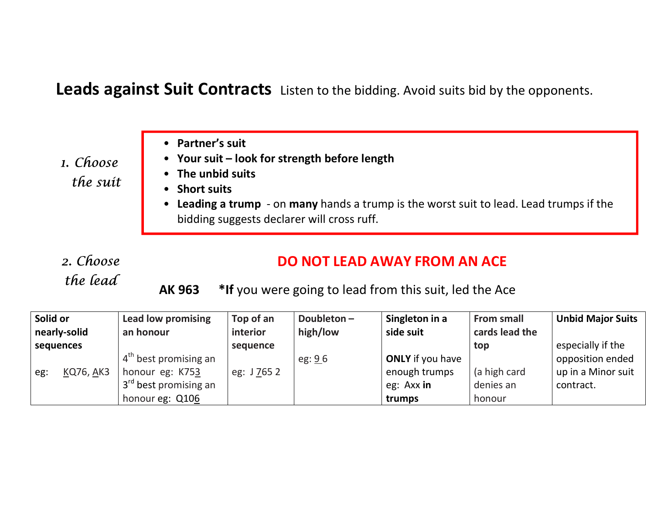Leads against Suit Contracts Listen to the bidding. Avoid suits bid by the opponents.

1. Choose the suit

- Partner's suit
- Your suit look for strength before length
- The unbid suits
- Short suits
- Leading a trump on many hands a trump is the worst suit to lead. Lead trumps if the bidding suggests declarer will cross ruff.

2. Choose the lead

## DO NOT LEAD AWAY FROM AN ACE

AK 963 \*If you were going to lead from this suit, led the Ace

| Solid or         | <b>Lead low promising</b>       | Top of an   | Doubleton $-$ | Singleton in a          | <b>From small</b> | <b>Unbid Major Suits</b> |
|------------------|---------------------------------|-------------|---------------|-------------------------|-------------------|--------------------------|
| nearly-solid     | an honour                       | interior    | high/low      | side suit               | cards lead the    |                          |
| sequences        |                                 | sequence    |               |                         | top               | especially if the        |
|                  | $\frac{1}{4}$ best promising an |             | eg: 96        | <b>ONLY</b> if you have |                   | opposition ended         |
| KQ76, AK3<br>eg: | honour eg: K753                 | eg: J 765 2 |               | enough trumps           | (a high card      | up in a Minor suit       |
|                  | $3rd$ best promising an         |             |               | eg: Axx in              | denies an         | contract.                |
|                  | honour eg: Q106                 |             |               | trumps                  | honour            |                          |